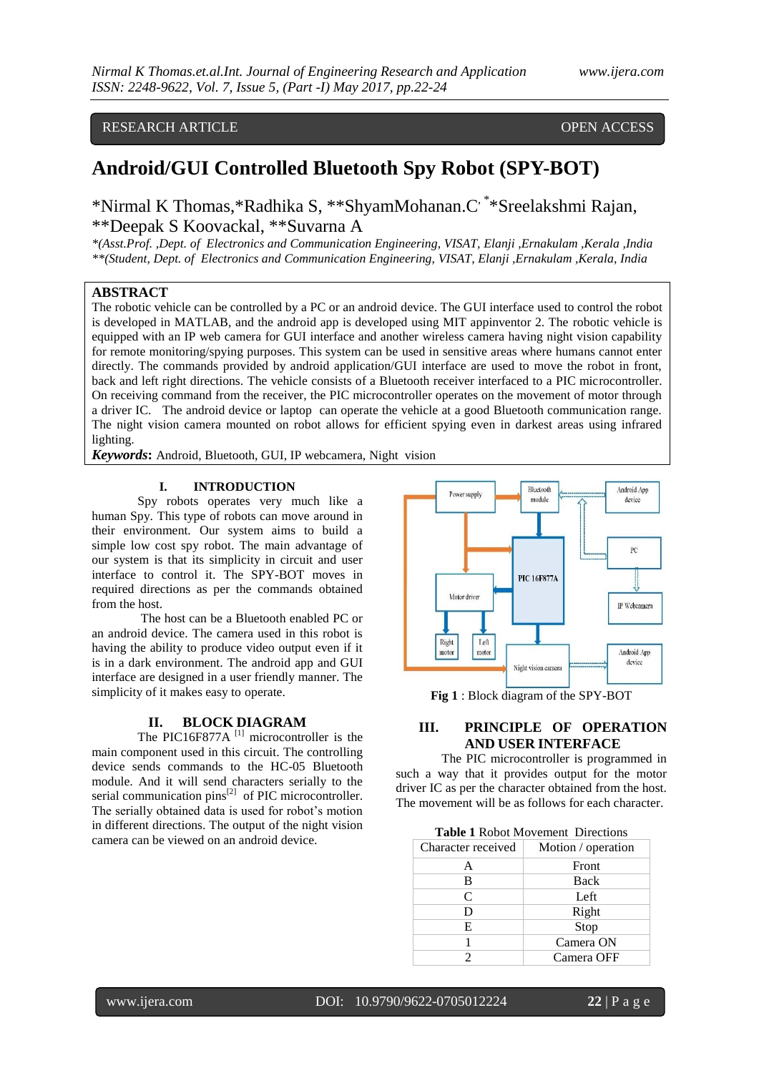# RESEARCH ARTICLE OPEN ACCESS

# **Android/GUI Controlled Bluetooth Spy Robot (SPY-BOT)**

\*Nirmal K Thomas, \*Radhika S, \*\*ShyamMohanan.C<sup>, \*</sup>\*Sreelakshmi Rajan, \*\*Deepak S Koovackal, \*\*Suvarna A

*\*(Asst.Prof. ,Dept. of Electronics and Communication Engineering, VISAT, Elanji ,Ernakulam ,Kerala ,India \*\*(Student, Dept. of Electronics and Communication Engineering, VISAT, Elanji ,Ernakulam ,Kerala, India*

### **ABSTRACT**

The robotic vehicle can be controlled by a PC or an android device. The GUI interface used to control the robot is developed in MATLAB, and the android app is developed using MIT appinventor 2. The robotic vehicle is equipped with an IP web camera for GUI interface and another wireless camera having night vision capability for remote monitoring/spying purposes. This system can be used in sensitive areas where humans cannot enter directly. The commands provided by android application/GUI interface are used to move the robot in front, back and left right directions. The vehicle consists of a Bluetooth receiver interfaced to a PIC microcontroller. On receiving command from the receiver, the PIC microcontroller operates on the movement of motor through a driver IC. The android device or laptop can operate the vehicle at a good Bluetooth communication range. The night vision camera mounted on robot allows for efficient spying even in darkest areas using infrared lighting.

*Keywords***:** Android, Bluetooth, GUI, IP webcamera, Night vision

#### **I. INTRODUCTION**

Spy robots operates very much like a human Spy. This type of robots can move around in their environment. Our system aims to build a simple low cost spy robot. The main advantage of our system is that its simplicity in circuit and user interface to control it. The SPY-BOT moves in required directions as per the commands obtained from the host.

The host can be a Bluetooth enabled PC or an android device. The camera used in this robot is having the ability to produce video output even if it is in a dark environment. The android app and GUI interface are designed in a user friendly manner. The simplicity of it makes easy to operate.

### **II. BLOCK DIAGRAM**

The PIC16F877A<sup>[1]</sup> microcontroller is the main component used in this circuit. The controlling device sends commands to the HC-05 Bluetooth module. And it will send characters serially to the serial communication  $pins^{[2]}$  of PIC microcontroller. The serially obtained data is used for robot's motion in different directions. The output of the night vision camera can be viewed on an android device.



**Fig 1** : Block diagram of the SPY-BOT

# **III. PRINCIPLE OF OPERATION AND USER INTERFACE**

The PIC microcontroller is programmed in such a way that it provides output for the motor driver IC as per the character obtained from the host. The movement will be as follows for each character.

|  | <b>Table 1 Robot Movement Directions</b> |  |
|--|------------------------------------------|--|
|--|------------------------------------------|--|

| Character received | Motion / operation |  |
|--------------------|--------------------|--|
|                    | Front              |  |
| B                  | <b>Back</b>        |  |
| C                  | Left               |  |
| D                  | Right              |  |
| E                  | Stop               |  |
|                    | Camera ON          |  |
|                    | Camera OFF         |  |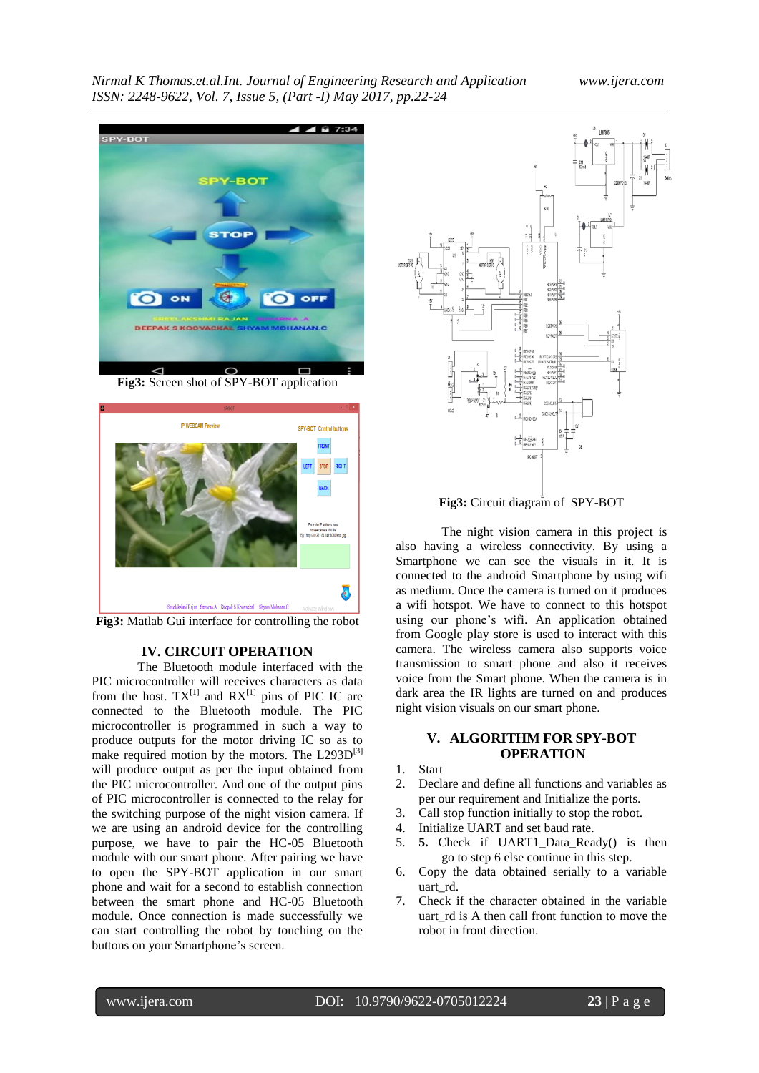**BOT** 



ON



**Fig3:** Matlab Gui interface for controlling the robot

# **IV. CIRCUIT OPERATION**

The Bluetooth module interfaced with the PIC microcontroller will receives characters as data from the host.  $TX^{[1]}$  and  $RX^{[1]}$  pins of PIC IC are connected to the Bluetooth module. The PIC microcontroller is programmed in such a way to produce outputs for the motor driving IC so as to make required motion by the motors. The  $L293D^{[3]}$ will produce output as per the input obtained from the PIC microcontroller. And one of the output pins of PIC microcontroller is connected to the relay for the switching purpose of the night vision camera. If we are using an android device for the controlling purpose, we have to pair the HC-05 Bluetooth module with our smart phone. After pairing we have to open the SPY-BOT application in our smart phone and wait for a second to establish connection between the smart phone and HC-05 Bluetooth module. Once connection is made successfully we can start controlling the robot by touching on the buttons on your Smartphone's screen.



Fig3: Circuit diagram of SPY-BOT

The night vision camera in this project is also having a wireless connectivity. By using a Smartphone we can see the visuals in it. It is connected to the android Smartphone by using wifi as medium. Once the camera is turned on it produces a wifi hotspot. We have to connect to this hotspot using our phone's wifi. An application obtained from Google play store is used to interact with this camera. The wireless camera also supports voice transmission to smart phone and also it receives voice from the Smart phone. When the camera is in dark area the IR lights are turned on and produces night vision visuals on our smart phone.

### **V. ALGORITHM FOR SPY-BOT OPERATION**

- 1. Start
- 2. Declare and define all functions and variables as per our requirement and Initialize the ports.
- 3. Call stop function initially to stop the robot.
- 4. Initialize UART and set baud rate.
- 5. **5.** Check if UART1\_Data\_Ready() is then go to step 6 else continue in this step.
- 6. Copy the data obtained serially to a variable uart\_rd.
- 7. Check if the character obtained in the variable uart rd is A then call front function to move the robot in front direction.

# *Nirmal K Thomas.et.al.Int. Journal of Engineering Research and Application www.ijera.com ISSN: 2248-9622, Vol. 7, Issue 5, (Part -I) May 2017, pp.22-24*

OFF